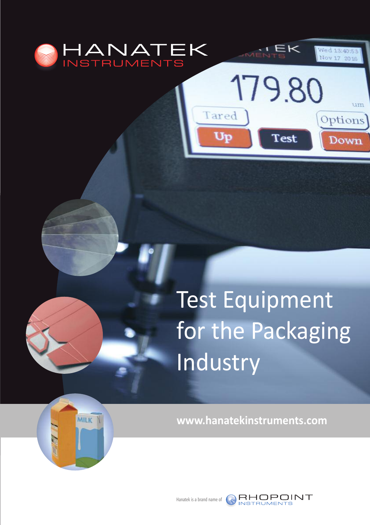

MILK

# Test Equipment for the Packaging Industry

 $\leq$ K $\leq$ 

179.80

Test

Tared

Up

Wed 13:40:5 Nov 17 2016

um

Options

Down

**[www.hanatekinstruments.com](http://www.hanatekinstruments.com/)**



[Hanatek](http://www.rhopointinstruments.com/) is a brand name of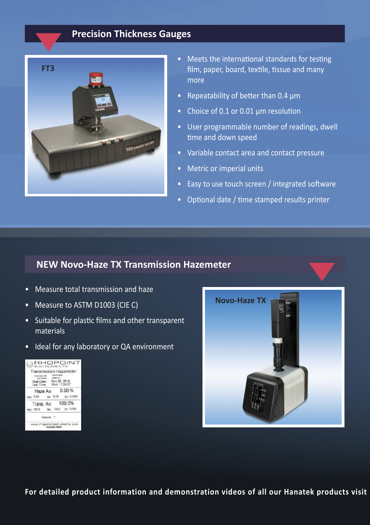#### **Precision Thickness Gauges**



- Meets the international standards for testing film, paper, board, textile, tissue and many more
- Repeatability of better than 0.4 µm
- Choice of 0.1 or 0.01 µm resolution
- User programmable number of readings, dwell time and down speed
- Variable contact area and contact pressure
- Metric or imperial units
- Easy to use touch screen / integrated software
- Optional date / time stamped results printer

#### **NEW Novo-Haze TX Transmission Hazemeter**

- Measure total transmission and haze
- Measure to ASTM D1003 (CIE C)
- Suitable for plastic films and other transparent materials
- Ideal for any laboratory or QA environment





**For detailed product information and demonstration videos of all our Hanatek products visit**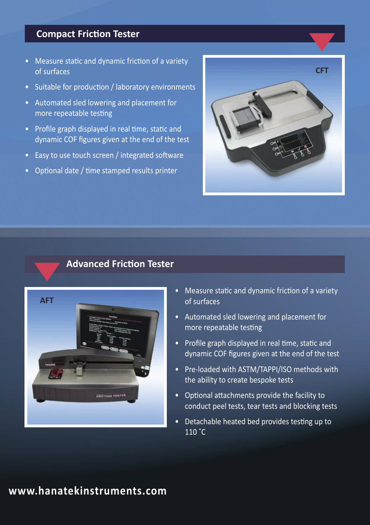#### **Compact Friction Tester**

- Measure static and dynamic friction of a variety of surfaces
- Suitable for production / laboratory environments
- Automated sled lowering and placement for more repeatable testing
- Profile graph displayed in real time, static and dynamic COF figures given at the end of the test
- Easy to use touch screen / integrated software
- Optional date / time stamped results printer



#### **Advanced Friction Tester**



|

- Measure static and dynamic friction of a variety of surfaces
- Automated sled lowering and placement for more repeatable testing
- Profile graph displayed in real time, static and dynamic COF figures given at the end of the test
- Pre-loaded with ASTM/TAPPI/ISO methods with the ability to create bespoke tests
- Optional attachments provide the facility to conduct peel tests, tear tests and blocking tests
- Detachable heated bed provides testing up to  $110 °C$

## **[www.hanatekinstruments.com](http://www.hanatekinstruments.com/)**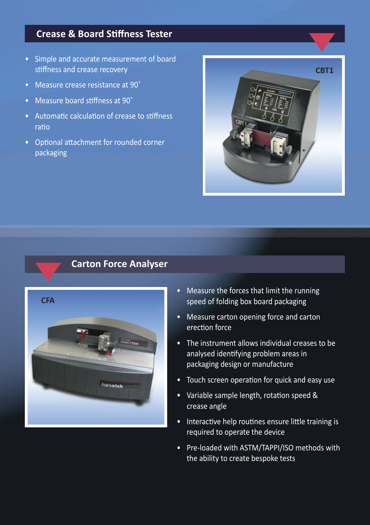#### **Crease & Board Stiffness Tester**

- Simple and accurate measurement of board stiffness and crease recovery
- Measure crease resistance at 90˚
- Measure board stiffness at 90˚
- Automatic calculation of crease to stiffness ratio
- Optional attachment for rounded corner packaging



#### **Carton Force Analyser**



- Measure the forces that limit the running speed of folding box board packaging
- Measure carton opening force and carton erection force
- The instrument allows individual creases to be analysed identifying problem areas in packaging design or manufacture
- Touch screen operation for quick and easy use
- Variable sample length, rotation speed & crease angle
- Interactive help routines ensure little training is required to operate the device
- Pre-loaded with ASTM/TAPPI/ISO methods with the ability to create bespoke tests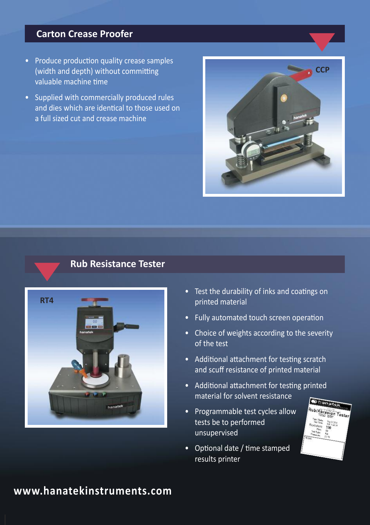#### **Carton Crease Proofer**

- Produce production quality crease samples (width and depth) without committing valuable machine time
- Supplied with commercially produced rules and dies which are identical to those used on a full sized cut and crease machine



#### **Rub Resistance Tester**



- Test the durability of inks and coatings on printed material
- Fully automated touch screen operation
- Choice of weights according to the severity of the test
- Additional attachment for testing scratch and scuff resistance of printed material
- Additional attachment for testing printed material for solvent resistance
- Programmable test cycles allow tests be to performed unsupervised
- Optional date / time stamped results printer



# **www.hanatekinstruments.com**